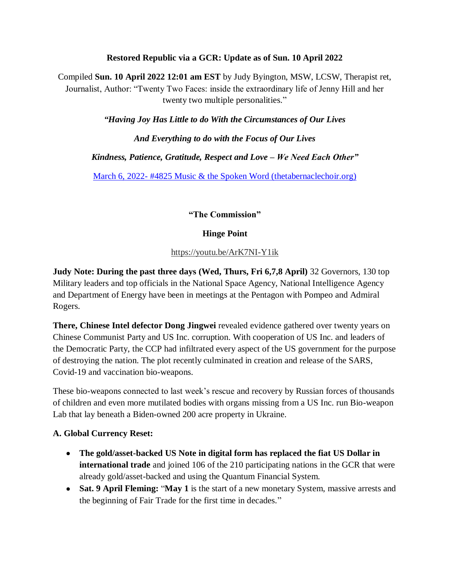### **Restored Republic via a GCR: Update as of Sun. 10 April 2022**

Compiled **Sun. 10 April 2022 12:01 am EST** by Judy Byington, MSW, LCSW, Therapist ret, Journalist, Author: "Twenty Two Faces: inside the extraordinary life of Jenny Hill and her twenty two multiple personalities."

*"Having Joy Has Little to do With the Circumstances of Our Lives* 

*And Everything to do with the Focus of Our Lives*

*Kindness, Patience, Gratitude, Respect and Love – We Need Each Other"*

March 6, 2022- [#4825 Music & the Spoken Word \(thetabernaclechoir.org\)](https://www.thetabernaclechoir.org/videos/march-06-2022-4825-music-and-the-spoken-word.html)

**"The Commission"**

### **Hinge Point**

<https://youtu.be/ArK7NI-Y1ik>

**Judy Note: During the past three days (Wed, Thurs, Fri 6,7,8 April)** 32 Governors, 130 top Military leaders and top officials in the National Space Agency, National Intelligence Agency and Department of Energy have been in meetings at the Pentagon with Pompeo and Admiral Rogers.

**There, Chinese Intel defector Dong Jingwei** revealed evidence gathered over twenty years on Chinese Communist Party and US Inc. corruption. With cooperation of US Inc. and leaders of the Democratic Party, the CCP had infiltrated every aspect of the US government for the purpose of destroying the nation. The plot recently culminated in creation and release of the SARS, Covid-19 and vaccination bio-weapons.

These bio-weapons connected to last week's rescue and recovery by Russian forces of thousands of children and even more mutilated bodies with organs missing from a US Inc. run Bio-weapon Lab that lay beneath a Biden-owned 200 acre property in Ukraine.

### **A. Global Currency Reset:**

- **The gold/asset-backed US Note in digital form has replaced the fiat US Dollar in international trade** and joined 106 of the 210 participating nations in the GCR that were already gold/asset-backed and using the Quantum Financial System.
- **Sat. 9 April Fleming:** "**May 1** is the start of a new monetary System, massive arrests and the beginning of Fair Trade for the first time in decades."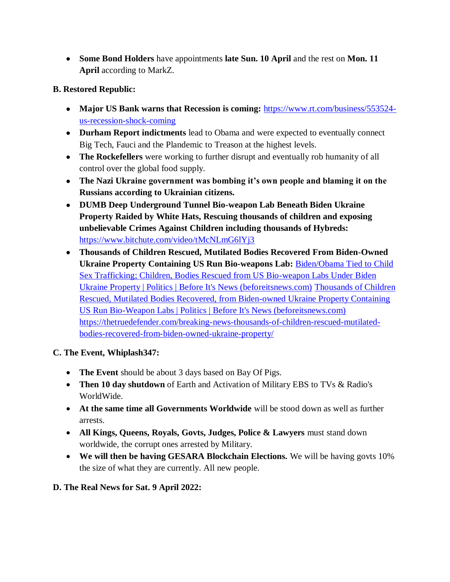**Some Bond Holders** have appointments **late Sun. 10 April** and the rest on **Mon. 11 April** according to MarkZ.

# **B. Restored Republic:**

- Major US Bank warns that Recession is coming: [https://www.rt.com/business/553524](https://www.rt.com/business/553524-us-recession-shock-coming) [us-recession-shock-coming](https://www.rt.com/business/553524-us-recession-shock-coming)
- **Durham Report indictments** lead to Obama and were expected to eventually connect Big Tech, Fauci and the Plandemic to Treason at the highest levels.
- **The Rockefellers** were working to further disrupt and eventually rob humanity of all control over the global food supply.
- **The Nazi Ukraine government was bombing it"s own people and blaming it on the Russians according to Ukrainian citizens.**
- **DUMB Deep Underground Tunnel Bio-weapon Lab Beneath Biden Ukraine Property Raided by White Hats, Rescuing thousands of children and exposing unbelievable Crimes Against Children including thousands of Hybreds:**  <https://www.bitchute.com/video/tMcNLmG6lYj3>
- **Thousands of Children Rescued, Mutilated Bodies Recovered From Biden-Owned Ukraine Property Containing US Run Bio-weapons Lab:** [Biden/Obama Tied to Child](https://beforeitsnews.com/politics/2022/04/bidenobama-tied-to-child-sex-trafficking-children-bodies-rescued-from-us-bio-weapon-labs-under-biden-ukraine-property-3259928.html)  [Sex Trafficking; Children, Bodies Rescued from US Bio-weapon Labs Under Biden](https://beforeitsnews.com/politics/2022/04/bidenobama-tied-to-child-sex-trafficking-children-bodies-rescued-from-us-bio-weapon-labs-under-biden-ukraine-property-3259928.html)  [Ukraine Property | Politics | Before It's News \(beforeitsnews.com\)](https://beforeitsnews.com/politics/2022/04/bidenobama-tied-to-child-sex-trafficking-children-bodies-rescued-from-us-bio-weapon-labs-under-biden-ukraine-property-3259928.html) [Thousands of Children](https://beforeitsnews.com/politics/2022/04/thousands-of-children-rescued-mutilated-bodies-recovered-from-biden-owned-ukraine-property-containing-us-run-bio-weapon-labs-3259889.html)  [Rescued, Mutilated Bodies Recovered, from Biden-owned Ukraine Property Containing](https://beforeitsnews.com/politics/2022/04/thousands-of-children-rescued-mutilated-bodies-recovered-from-biden-owned-ukraine-property-containing-us-run-bio-weapon-labs-3259889.html)  [US Run Bio-Weapon Labs | Politics | Before It's News \(beforeitsnews.com\)](https://beforeitsnews.com/politics/2022/04/thousands-of-children-rescued-mutilated-bodies-recovered-from-biden-owned-ukraine-property-containing-us-run-bio-weapon-labs-3259889.html) [https://thetruedefender.com/breaking-news-thousands-of-children-rescued-mutilated](https://thetruedefender.com/breaking-news-thousands-of-children-rescued-mutilated-bodies-recovered-from-biden-owned-ukraine-property/)[bodies-recovered-from-biden-owned-ukraine-property/](https://thetruedefender.com/breaking-news-thousands-of-children-rescued-mutilated-bodies-recovered-from-biden-owned-ukraine-property/)

# **C. The Event, Whiplash347:**

- **The Event** should be about 3 days based on Bay Of Pigs.
- **Then 10 day shutdown** of Earth and Activation of Military EBS to TVs & Radio's WorldWide.
- **At the same time all Governments Worldwide** will be stood down as well as further arrests.
- **All Kings, Queens, Royals, Govts, Judges, Police & Lawyers** must stand down worldwide, the corrupt ones arrested by Military.
- **We will then be having GESARA Blockchain Elections.** We will be having govts 10% the size of what they are currently. All new people.

# **D. The Real News for Sat. 9 April 2022:**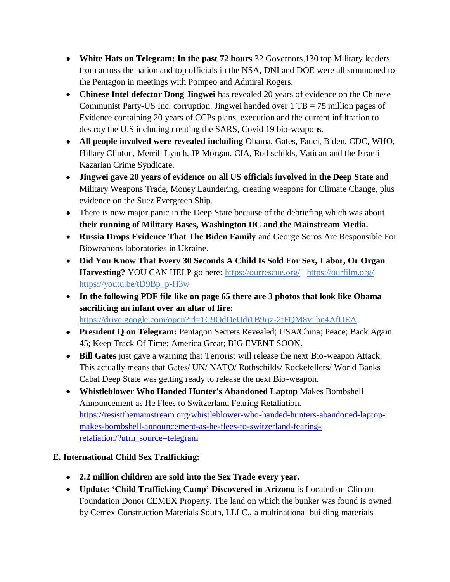- **White Hats on Telegram: In the past 72 hours** 32 Governors,130 top Military leaders from across the nation and top officials in the NSA, DNI and DOE were all summoned to the Pentagon in meetings with Pompeo and Admiral Rogers.
- **Chinese Intel defector Dong Jingwei** has revealed 20 years of evidence on the Chinese Communist Party-US Inc. corruption. Jingwei handed over 1 TB = 75 million pages of Evidence containing 20 years of CCPs plans, execution and the current infiltration to destroy the U.S including creating the SARS, Covid 19 bio-weapons.
- **All people involved were revealed including** Obama, Gates, Fauci, Biden, CDC, WHO, Hillary Clinton, Merrill Lynch, JP Morgan, CIA, Rothschilds, Vatican and the Israeli Kazarian Crime Syndicate.
- **Jingwei gave 20 years of evidence on all US officials involved in the Deep State** and Military Weapons Trade, Money Laundering, creating weapons for Climate Change, plus evidence on the Suez Evergreen Ship.
- There is now major panic in the Deep State because of the debriefing which was about **their running of Military Bases, Washington DC and the Mainstream Media.**
- **Russia Drops Evidence That The Biden Family** and George Soros Are Responsible For Bioweapons laboratories in Ukraine.
- **Did You Know That Every 30 Seconds A Child Is Sold For Sex, Labor, Or Organ Harvesting?** YOU CAN HELP go here: <https://ourrescue.org/><https://ourfilm.org/> [https://youtu.be/tD9Bp\\_p-H3w](https://youtu.be/tD9Bp_p-H3w)
- **In the following PDF file like on page 65 there are 3 photos that look like Obama sacrificing an infant over an altar of fire:**  [https://drive.google.com/open?id=1C9OdDeUdi1B9rjz-2tFQM8v\\_bn4AfDEA](https://drive.google.com/open?id=1C9OdDeUdi1B9rjz-2tFQM8v_bn4AfDEA)
- **President Q on Telegram:** Pentagon Secrets Revealed; USA/China; Peace; Back Again 45; Keep Track Of Time; America Great; BIG EVENT SOON.
- **Bill Gates** just gave a warning that Terrorist will release the next Bio-weapon Attack. This actually means that Gates/ UN/ NATO/ Rothschilds/ Rockefellers/ World Banks Cabal Deep State was getting ready to release the next Bio-weapon.
- **Whistleblower Who Handed Hunter's Abandoned Laptop** Makes Bombshell Announcement as He Flees to Switzerland Fearing Retaliation. [https://resistthemainstream.org/whistleblower-who-handed-hunters-abandoned-laptop](https://resistthemainstream.org/whistleblower-who-handed-hunters-abandoned-laptop-makes-bombshell-announcement-as-he-flees-to-switzerland-fearing-retaliation/?utm_source=telegram)[makes-bombshell-announcement-as-he-flees-to-switzerland-fearing](https://resistthemainstream.org/whistleblower-who-handed-hunters-abandoned-laptop-makes-bombshell-announcement-as-he-flees-to-switzerland-fearing-retaliation/?utm_source=telegram)[retaliation/?utm\\_source=telegram](https://resistthemainstream.org/whistleblower-who-handed-hunters-abandoned-laptop-makes-bombshell-announcement-as-he-flees-to-switzerland-fearing-retaliation/?utm_source=telegram)

# **E. International Child Sex Trafficking:**

- **2.2 million children are sold into the Sex Trade every year.**
- **Update: "Child Trafficking Camp" Discovered in Arizona** is Located on Clinton Foundation Donor CEMEX Property. The land on which the bunker was found is owned by Cemex Construction Materials South, LLLC., a multinational building materials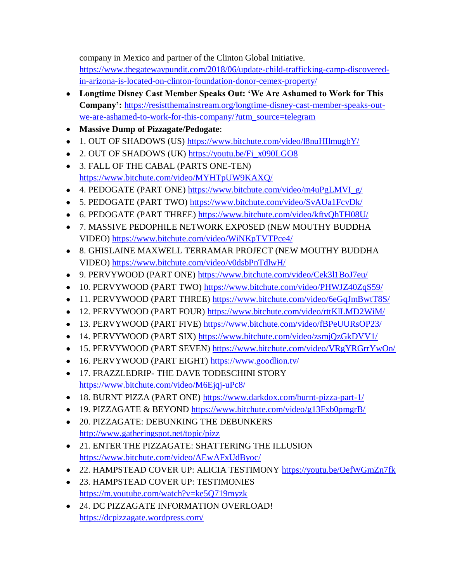company in Mexico and partner of the Clinton Global Initiative.

[https://www.thegatewaypundit.com/2018/06/update-child-trafficking-camp-discovered](https://www.thegatewaypundit.com/2018/06/update-child-trafficking-camp-discovered-in-arizona-is-located-on-clinton-foundation-donor-cemex-property/)[in-arizona-is-located-on-clinton-foundation-donor-cemex-property/](https://www.thegatewaypundit.com/2018/06/update-child-trafficking-camp-discovered-in-arizona-is-located-on-clinton-foundation-donor-cemex-property/)

- **Longtime Disney Cast Member Speaks Out: "We Are Ashamed to Work for This Company":** [https://resistthemainstream.org/longtime-disney-cast-member-speaks-out](https://resistthemainstream.org/longtime-disney-cast-member-speaks-out-we-are-ashamed-to-work-for-this-company/?utm_source=telegram)[we-are-ashamed-to-work-for-this-company/?utm\\_source=telegram](https://resistthemainstream.org/longtime-disney-cast-member-speaks-out-we-are-ashamed-to-work-for-this-company/?utm_source=telegram)
- **Massive Dump of Pizzagate/Pedogate**:
- 1. OUT OF SHADOWS (US) <https://www.bitchute.com/video/l8nuHIlmugbY/>
- 2. OUT OF SHADOWS (UK) [https://youtu.be/Fi\\_x090LGO8](https://youtu.be/Fi_x090LGO8)
- 3. FALL OF THE CABAL (PARTS ONE-TEN) <https://www.bitchute.com/video/MYHTpUW9KAXQ/>
- 4. PEDOGATE (PART ONE) [https://www.bitchute.com/video/m4uPgLMVI\\_g/](https://www.bitchute.com/video/m4uPgLMVI_g/)
- 5. PEDOGATE (PART TWO) <https://www.bitchute.com/video/SvAUa1FcvDk/>
- 6. PEDOGATE (PART THREE) <https://www.bitchute.com/video/kftvQhTH08U/>
- 7. MASSIVE PEDOPHILE NETWORK EXPOSED (NEW MOUTHY BUDDHA VIDEO) <https://www.bitchute.com/video/WiNKpTVTPce4/>
- 8. GHISLAINE MAXWELL TERRAMAR PROJECT (NEW MOUTHY BUDDHA VIDEO) <https://www.bitchute.com/video/v0dsbPnTdlwH/>
- 9. PERVYWOOD (PART ONE) <https://www.bitchute.com/video/Cek3l1BoJ7eu/>
- 10. PERVYWOOD (PART TWO) <https://www.bitchute.com/video/PHWJZ40ZqS59/>
- 11. PERVYWOOD (PART THREE) <https://www.bitchute.com/video/6eGqJmBwtT8S/>
- 12. PERVYWOOD (PART FOUR) <https://www.bitchute.com/video/rttKlLMD2WiM/>
- 13. PERVYWOOD (PART FIVE) <https://www.bitchute.com/video/fBPeUURsOP23/>
- 14. PERVYWOOD (PART SIX) <https://www.bitchute.com/video/zsmjQzGkDVV1/>
- 15. PERVYWOOD (PART SEVEN) <https://www.bitchute.com/video/VRgYRGrrYwOn/>
- 16. PERVYWOOD (PART EIGHT) <https://www.goodlion.tv/>
- $\bullet$  17. FRAZZLEDRIP- THE DAVE TODESCHINI STORY <https://www.bitchute.com/video/M6Ejqj-uPc8/>
- 18. BURNT PIZZA (PART ONE) <https://www.darkdox.com/burnt-pizza-part-1/>
- 19. PIZZAGATE & BEYOND <https://www.bitchute.com/video/g13Fxb0pmgrB/>
- 20. PIZZAGATE: DEBUNKING THE DEBUNKERS <http://www.gatheringspot.net/topic/pizz>
- 21. ENTER THE PIZZAGATE: SHATTERING THE ILLUSION <https://www.bitchute.com/video/AEwAFxUdByoc/>
- 22. HAMPSTEAD COVER UP: ALICIA TESTIMONY <https://youtu.be/OefWGmZn7fk>
- 23. HAMPSTEAD COVER UP: TESTIMONIES <https://m.youtube.com/watch?v=ke5Q719myzk>
- 24. DC PIZZAGATE INFORMATION OVERLOAD! <https://dcpizzagate.wordpress.com/>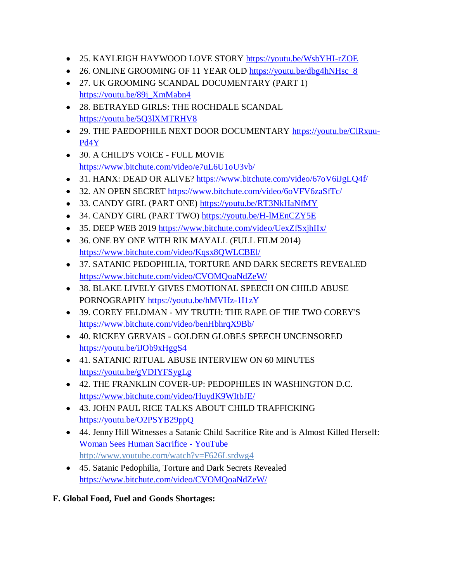- 25. KAYLEIGH HAYWOOD LOVE STORY <https://youtu.be/WsbYHI-rZOE>
- 26. ONLINE GROOMING OF 11 YEAR OLD https://youtu.be/dbg4hNHsc 8
- 27. UK GROOMING SCANDAL DOCUMENTARY (PART 1) [https://youtu.be/89j\\_XmMabn4](https://youtu.be/89j_XmMabn4)
- 28. BETRAYED GIRLS: THE ROCHDALE SCANDAL <https://youtu.be/5Q3lXMTRHV8>
- 29. THE PAEDOPHILE NEXT DOOR DOCUMENTARY [https://youtu.be/ClRxuu-](https://youtu.be/ClRxuu-Pd4Y)[Pd4Y](https://youtu.be/ClRxuu-Pd4Y)
- 30. A CHILD'S VOICE FULL MOVIE <https://www.bitchute.com/video/e7uL6U1oU3vb/>
- 31. HANX: DEAD OR ALIVE? <https://www.bitchute.com/video/67oV6iJgLQ4f/>
- 32. AN OPEN SECRET <https://www.bitchute.com/video/6oVFV6zaSfTc/>
- 33. CANDY GIRL (PART ONE) <https://youtu.be/RT3NkHaNfMY>
- 34. CANDY GIRL (PART TWO) <https://youtu.be/H-lMEnCZY5E>
- 35. DEEP WEB 2019 <https://www.bitchute.com/video/UexZfSxjhIIx/>
- 36. ONE BY ONE WITH RIK MAYALL (FULL FILM 2014) <https://www.bitchute.com/video/Kqsx8QWLCBEl/>
- 37. SATANIC PEDOPHILIA, TORTURE AND DARK SECRETS REVEALED <https://www.bitchute.com/video/CVOMQoaNdZeW/>
- 38. BLAKE LIVELY GIVES EMOTIONAL SPEECH ON CHILD ABUSE PORNOGRAPHY <https://youtu.be/hMVHz-1I1zY>
- 39. COREY FELDMAN MY TRUTH: THE RAPE OF THE TWO COREY'S <https://www.bitchute.com/video/benHbhrqX9Bb/>
- 40. RICKEY GERVAIS GOLDEN GLOBES SPEECH UNCENSORED <https://youtu.be/iJOb9xHggS4>
- 41. SATANIC RITUAL ABUSE INTERVIEW ON 60 MINUTES <https://youtu.be/gVDIYFSygLg>
- 42. THE FRANKLIN COVER-UP: PEDOPHILES IN WASHINGTON D.C. <https://www.bitchute.com/video/HuydK9WItbJE/>
- 43. JOHN PAUL RICE TALKS ABOUT CHILD TRAFFICKING <https://youtu.be/O2PSYB29ppQ>
- 44. Jenny Hill Witnesses a Satanic Child Sacrifice Rite and is Almost Killed Herself: [Woman Sees Human Sacrifice -](https://www.youtube.com/watch?v=F626Lsrdwg4) YouTube [http://www.youtube.com/watch?v=F626Lsrdwg4](https://www.youtube.com/watch?v=F626Lsrdwg4)
- 45. Satanic Pedophilia, Torture and Dark Secrets Revealed <https://www.bitchute.com/video/CVOMQoaNdZeW/>
- **F. Global Food, Fuel and Goods Shortages:**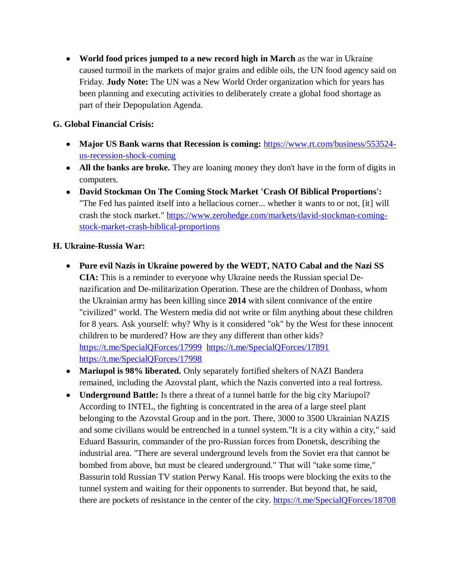**World food prices jumped to a new record high in March** as the war in Ukraine caused turmoil in the markets of major grains and edible oils, the UN food agency said on Friday. **Judy Note:** The UN was a New World Order organization which for years has been planning and executing activities to deliberately create a global food shortage as part of their Depopulation Agenda.

## **G. Global Financial Crisis:**

- Major US Bank warns that Recession is coming: [https://www.rt.com/business/553524](https://www.rt.com/business/553524-us-recession-shock-coming) [us-recession-shock-coming](https://www.rt.com/business/553524-us-recession-shock-coming)
- **All the banks are broke.** They are loaning money they don't have in the form of digits in computers.
- **David Stockman On The Coming Stock Market 'Crash Of Biblical Proportions':** "The Fed has painted itself into a hellacious corner... whether it wants to or not, [it] will crash the stock market." [https://www.zerohedge.com/markets/david-stockman-coming](https://www.zerohedge.com/markets/david-stockman-coming-stock-market-crash-biblical-proportions)[stock-market-crash-biblical-proportions](https://www.zerohedge.com/markets/david-stockman-coming-stock-market-crash-biblical-proportions)

### **H. Ukraine-Russia War:**

- **Pure evil Nazis in Ukraine powered by the WEDT, NATO Cabal and the Nazi SS CIA:** This is a reminder to everyone why Ukraine needs the Russian special Denazification and De-militarization Operation. These are the children of Donbass, whom the Ukrainian army has been killing since **2014** with silent connivance of the entire "civilized" world. The Western media did not write or film anything about these children for 8 years. Ask yourself: why? Why is it considered "ok" by the West for these innocent children to be murdered? How are they any different than other kids? <https://t.me/SpecialQForces/17999><https://t.me/SpecialQForces/17891> <https://t.me/SpecialQForces/17998>
- **Mariupol is 98% liberated.** Only separately fortified shelters of NAZI Bandera remained, including the Azovstal plant, which the Nazis converted into a real fortress.
- **Underground Battle:** Is there a threat of a tunnel battle for the big city Mariupol? According to INTEL, the fighting is concentrated in the area of a large steel plant belonging to the Azovstal Group and in the port. There, 3000 to 3500 Ukrainian NAZIS and some civilians would be entrenched in a tunnel system."It is a city within a city," said Eduard Bassurin, commander of the pro-Russian forces from Donetsk, describing the industrial area. "There are several underground levels from the Soviet era that cannot be bombed from above, but must be cleared underground." That will "take some time," Bassurin told Russian TV station Perwy Kanal. His troops were blocking the exits to the tunnel system and waiting for their opponents to surrender. But beyond that, he said, there are pockets of resistance in the center of the city. <https://t.me/SpecialQForces/18708>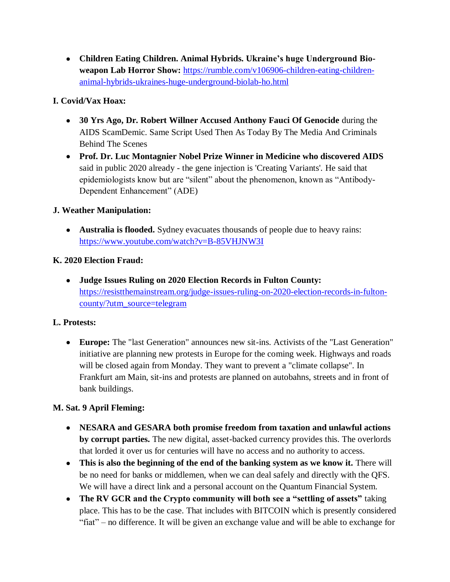**Children Eating Children. Animal Hybrids. Ukraine"s huge Underground Bioweapon Lab Horror Show:** [https://rumble.com/v106906-children-eating-children](https://rumble.com/v106906-children-eating-children-animal-hybrids-ukraines-huge-underground-biolab-ho.html)[animal-hybrids-ukraines-huge-underground-biolab-ho.html](https://rumble.com/v106906-children-eating-children-animal-hybrids-ukraines-huge-underground-biolab-ho.html)

# **I. Covid/Vax Hoax:**

- **30 Yrs Ago, Dr. Robert Willner Accused Anthony Fauci Of Genocide** during the AIDS ScamDemic. Same Script Used Then As Today By The Media And Criminals Behind The Scenes
- **Prof. Dr. Luc Montagnier Nobel Prize Winner in Medicine who discovered AIDS** said in public 2020 already - the gene injection is 'Creating Variants'. He said that epidemiologists know but are "silent" about the phenomenon, known as "Antibody-Dependent Enhancement" (ADE)

## **J. Weather Manipulation:**

 **Australia is flooded.** Sydney evacuates thousands of people due to heavy rains: <https://www.youtube.com/watch?v=B-85VHJNW3I>

## **K. 2020 Election Fraud:**

 **Judge Issues Ruling on 2020 Election Records in Fulton County:**  [https://resistthemainstream.org/judge-issues-ruling-on-2020-election-records-in-fulton](https://resistthemainstream.org/judge-issues-ruling-on-2020-election-records-in-fulton-county/?utm_source=telegram)[county/?utm\\_source=telegram](https://resistthemainstream.org/judge-issues-ruling-on-2020-election-records-in-fulton-county/?utm_source=telegram)

### **L. Protests:**

 **Europe:** The "last Generation" announces new sit-ins. Activists of the "Last Generation" initiative are planning new protests in Europe for the coming week. Highways and roads will be closed again from Monday. They want to prevent a "climate collapse". In Frankfurt am Main, sit-ins and protests are planned on autobahns, streets and in front of bank buildings.

### **M. Sat. 9 April Fleming:**

- **NESARA and GESARA both promise freedom from taxation and unlawful actions by corrupt parties.** The new digital, asset-backed currency provides this. The overlords that lorded it over us for centuries will have no access and no authority to access.
- **This is also the beginning of the end of the banking system as we know it.** There will be no need for banks or middlemen, when we can deal safely and directly with the QFS. We will have a direct link and a personal account on the Quantum Financial System.
- **The RV GCR and the Crypto community will both see a "settling of assets"** taking place. This has to be the case. That includes with BITCOIN which is presently considered "fiat" – no difference. It will be given an exchange value and will be able to exchange for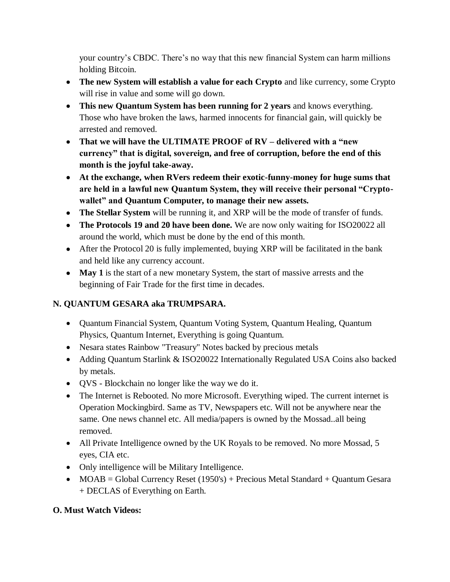your country's CBDC. There's no way that this new financial System can harm millions holding Bitcoin.

- **The new System will establish a value for each Crypto** and like currency, some Crypto will rise in value and some will go down.
- **This new Quantum System has been running for 2 years** and knows everything. Those who have broken the laws, harmed innocents for financial gain, will quickly be arrested and removed.
- **That we will have the ULTIMATE PROOF of RV – delivered with a "new currency" that is digital, sovereign, and free of corruption, before the end of this month is the joyful take-away.**
- **At the exchange, when RVers redeem their exotic-funny-money for huge sums that are held in a lawful new Quantum System, they will receive their personal "Cryptowallet" and Quantum Computer, to manage their new assets.**
- **The Stellar System** will be running it, and XRP will be the mode of transfer of funds.
- **The Protocols 19 and 20 have been done.** We are now only waiting for ISO20022 all around the world, which must be done by the end of this month.
- After the Protocol 20 is fully implemented, buying XRP will be facilitated in the bank and held like any currency account.
- **May 1** is the start of a new monetary System, the start of massive arrests and the beginning of Fair Trade for the first time in decades.

# **N. QUANTUM GESARA aka TRUMPSARA.**

- Quantum Financial System, Quantum Voting System, Quantum Healing, Quantum Physics, Quantum Internet, Everything is going Quantum.
- Nesara states Rainbow "Treasury" Notes backed by precious metals
- Adding Quantum Starlink & ISO20022 Internationally Regulated USA Coins also backed by metals.
- QVS Blockchain no longer like the way we do it.
- The Internet is Rebooted. No more Microsoft. Everything wiped. The current internet is Operation Mockingbird. Same as TV, Newspapers etc. Will not be anywhere near the same. One news channel etc. All media/papers is owned by the Mossad..all being removed.
- All Private Intelligence owned by the UK Royals to be removed. No more Mossad, 5 eyes, CIA etc.
- Only intelligence will be Military Intelligence.
- $\bullet$  MOAB = Global Currency Reset (1950's) + Precious Metal Standard + Quantum Gesara + DECLAS of Everything on Earth.

# **O. Must Watch Videos:**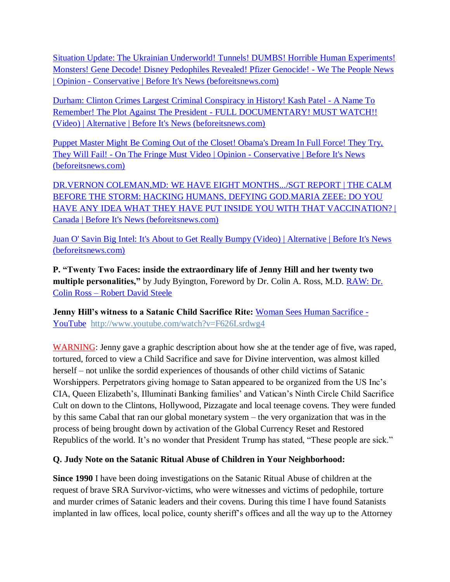[Situation Update: The Ukrainian Underworld! Tunnels! DUMBS! Horrible Human Experiments!](https://beforeitsnews.com/opinion-conservative/2022/04/situation-update-the-ukrainian-underworld-tunnels-dumbs-horrible-human-experiments-monsters-gene-decode-disney-pedophiles-revealed-pfizer-genocide-we-the-people-news-3625180.html)  [Monsters! Gene Decode! Disney Pedophiles Revealed! Pfizer Genocide! -](https://beforeitsnews.com/opinion-conservative/2022/04/situation-update-the-ukrainian-underworld-tunnels-dumbs-horrible-human-experiments-monsters-gene-decode-disney-pedophiles-revealed-pfizer-genocide-we-the-people-news-3625180.html) We The People News | Opinion - [Conservative | Before It's News \(beforeitsnews.com\)](https://beforeitsnews.com/opinion-conservative/2022/04/situation-update-the-ukrainian-underworld-tunnels-dumbs-horrible-human-experiments-monsters-gene-decode-disney-pedophiles-revealed-pfizer-genocide-we-the-people-news-3625180.html)

[Durham: Clinton Crimes Largest Criminal Conspiracy in History! Kash Patel -](https://beforeitsnews.com/alternative/2022/04/durham-clinton-crimes-largest-criminal-conspiracy-in-history-kash-patel-a-name-to-remember-the-plot-against-the-president-full-documentary-must-watch-video-3770872.html) A Name To Remember! The Plot Against The President - [FULL DOCUMENTARY! MUST WATCH!!](https://beforeitsnews.com/alternative/2022/04/durham-clinton-crimes-largest-criminal-conspiracy-in-history-kash-patel-a-name-to-remember-the-plot-against-the-president-full-documentary-must-watch-video-3770872.html)  [\(Video\) | Alternative | Before It's News \(beforeitsnews.com\)](https://beforeitsnews.com/alternative/2022/04/durham-clinton-crimes-largest-criminal-conspiracy-in-history-kash-patel-a-name-to-remember-the-plot-against-the-president-full-documentary-must-watch-video-3770872.html)

[Puppet Master Might Be Coming Out of the Closet! Obama's Dream In Full Force! They Try,](https://beforeitsnews.com/opinion-conservative/2022/04/puppet-master-might-be-coming-out-of-the-closet-obamas-dream-in-full-force-they-try-they-will-fail-on-the-fringe-must-video-3625168.html)  They Will Fail! - [On The Fringe Must Video | Opinion -](https://beforeitsnews.com/opinion-conservative/2022/04/puppet-master-might-be-coming-out-of-the-closet-obamas-dream-in-full-force-they-try-they-will-fail-on-the-fringe-must-video-3625168.html) Conservative | Before It's News [\(beforeitsnews.com\)](https://beforeitsnews.com/opinion-conservative/2022/04/puppet-master-might-be-coming-out-of-the-closet-obamas-dream-in-full-force-they-try-they-will-fail-on-the-fringe-must-video-3625168.html)

[DR.VERNON COLEMAN,MD: WE HAVE EIGHT MONTHS.../SGT REPORT | THE CALM](https://beforeitsnews.com/canada/2022/04/dr-vernon-colemanmd-we-have-eight-months-sgt-report-the-calm-before-the-storm-hacking-humans-defying-god-maria-zeee-do-you-have-any-idea-what-they-have-put-inside-you-with-that-vaccination-4851.html)  [BEFORE THE STORM: HACKING HUMANS, DEFYING GOD.MARIA ZEEE: DO YOU](https://beforeitsnews.com/canada/2022/04/dr-vernon-colemanmd-we-have-eight-months-sgt-report-the-calm-before-the-storm-hacking-humans-defying-god-maria-zeee-do-you-have-any-idea-what-they-have-put-inside-you-with-that-vaccination-4851.html)  [HAVE ANY IDEA WHAT THEY HAVE PUT INSIDE YOU WITH THAT VACCINATION? |](https://beforeitsnews.com/canada/2022/04/dr-vernon-colemanmd-we-have-eight-months-sgt-report-the-calm-before-the-storm-hacking-humans-defying-god-maria-zeee-do-you-have-any-idea-what-they-have-put-inside-you-with-that-vaccination-4851.html)  [Canada | Before It's News \(beforeitsnews.com\)](https://beforeitsnews.com/canada/2022/04/dr-vernon-colemanmd-we-have-eight-months-sgt-report-the-calm-before-the-storm-hacking-humans-defying-god-maria-zeee-do-you-have-any-idea-what-they-have-put-inside-you-with-that-vaccination-4851.html)

[Juan O' Savin Big Intel: It's About to Get Really Bumpy \(Video\) | Alternative | Before It's News](https://beforeitsnews.com/alternative/2022/04/juan-o-savin-big-intel-its-about-to-get-really-bumpy-video-3770787.html)  [\(beforeitsnews.com\)](https://beforeitsnews.com/alternative/2022/04/juan-o-savin-big-intel-its-about-to-get-really-bumpy-video-3770787.html)

**P. "Twenty Two Faces: inside the extraordinary life of Jenny Hill and her twenty two multiple personalities,"** by Judy Byington, Foreword by Dr. Colin A. Ross, M.D. [RAW: Dr.](https://robertdavidsteele.com/dr-colin-ross/)  Colin Ross – [Robert David Steele](https://robertdavidsteele.com/dr-colin-ross/)

**Jenny Hill"s witness to a Satanic Child Sacrifice Rite:** [Woman Sees Human Sacrifice -](https://www.youtube.com/watch?v=F626Lsrdwg4) [YouTube http://www.youtube.com/watch?v=F626Lsrdwg4](https://www.youtube.com/watch?v=F626Lsrdwg4)

WARNING: Jenny gave a graphic description about how she at the tender age of five, was raped, tortured, forced to view a Child Sacrifice and save for Divine intervention, was almost killed herself – not unlike the sordid experiences of thousands of other child victims of Satanic Worshippers. Perpetrators giving homage to Satan appeared to be organized from the US Inc's CIA, Queen Elizabeth's, Illuminati Banking families' and Vatican's Ninth Circle Child Sacrifice Cult on down to the Clintons, Hollywood, Pizzagate and local teenage covens. They were funded by this same Cabal that ran our global monetary system – the very organization that was in the process of being brought down by activation of the Global Currency Reset and Restored Republics of the world. It's no wonder that President Trump has stated, "These people are sick."

# **Q. Judy Note on the Satanic Ritual Abuse of Children in Your Neighborhood:**

**Since 1990** I have been doing investigations on the Satanic Ritual Abuse of children at the request of brave SRA Survivor-victims, who were witnesses and victims of pedophile, torture and murder crimes of Satanic leaders and their covens. During this time I have found Satanists implanted in law offices, local police, county sheriff's offices and all the way up to the Attorney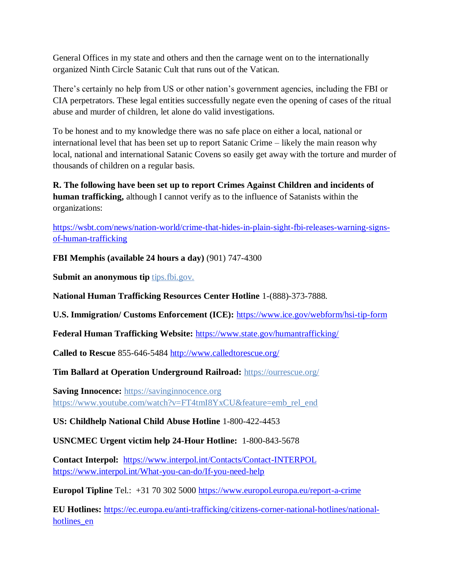General Offices in my state and others and then the carnage went on to the internationally organized Ninth Circle Satanic Cult that runs out of the Vatican.

There's certainly no help from US or other nation's government agencies, including the FBI or CIA perpetrators. These legal entities successfully negate even the opening of cases of the ritual abuse and murder of children, let alone do valid investigations.

To be honest and to my knowledge there was no safe place on either a local, national or international level that has been set up to report Satanic Crime – likely the main reason why local, national and international Satanic Covens so easily get away with the torture and murder of thousands of children on a regular basis.

**R. The following have been set up to report Crimes Against Children and incidents of human trafficking,** although I cannot verify as to the influence of Satanists within the organizations:

[https://wsbt.com/news/nation-world/crime-that-hides-in-plain-sight-fbi-releases-warning-signs](https://wsbt.com/news/nation-world/crime-that-hides-in-plain-sight-fbi-releases-warning-signs-of-human-trafficking?video=e56ba52a1b9d45ad8c8a033fd83fe480&jwsource=cl)[of-human-trafficking](https://wsbt.com/news/nation-world/crime-that-hides-in-plain-sight-fbi-releases-warning-signs-of-human-trafficking?video=e56ba52a1b9d45ad8c8a033fd83fe480&jwsource=cl)

**FBI Memphis (available 24 hours a day)** (901) 747-4300

**Submit an anonymous tip <b>tips.fbi.gov.** 

**National Human Trafficking Resources Center Hotline** 1-(888)-373-7888.

**U.S. Immigration/ Customs Enforcement (ICE):** <https://www.ice.gov/webform/hsi-tip-form>

**Federal Human Trafficking Website:** <https://www.state.gov/humantrafficking/>

**Called to Rescue** 855-646-5484<http://www.calledtorescue.org/>

**Tim Ballard at Operation Underground Railroad:** <https://ourrescue.org/>

**Saving Innocence:** [https://savinginnocence.org](https://savinginnocence.org/) [https://www.youtube.com/watch?v=FT4tmI8YxCU&feature=emb\\_rel\\_end](https://www.youtube.com/watch?v=FT4tmI8YxCU&feature=emb_rel_end)

**US: Childhelp National Child Abuse Hotline** 1-800-422-4453

**USNCMEC Urgent victim help 24-Hour Hotline:** 1-800-843-5678

**Contact Interpol:** <https://www.interpol.int/Contacts/Contact-INTERPOL> <https://www.interpol.int/What-you-can-do/If-you-need-help>

**Europol Tipline** Tel.: +31 70 302 5000<https://www.europol.europa.eu/report-a-crime>

**EU Hotlines:** [https://ec.europa.eu/anti-trafficking/citizens-corner-national-hotlines/national](https://ec.europa.eu/anti-trafficking/citizens-corner-national-hotlines/national-hotlines_en)[hotlines\\_en](https://ec.europa.eu/anti-trafficking/citizens-corner-national-hotlines/national-hotlines_en)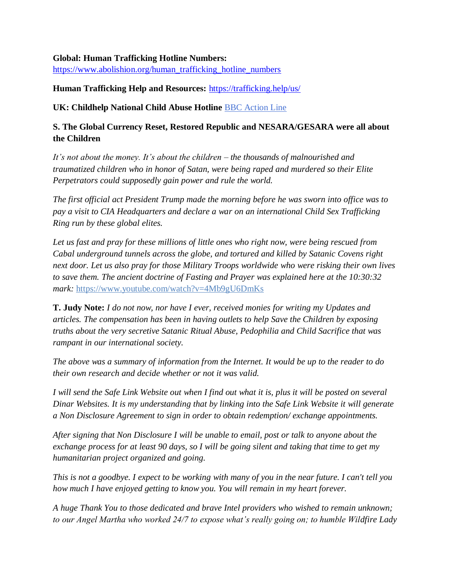#### **Global: Human Trafficking Hotline Numbers:**

[https://www.abolishion.org/human\\_trafficking\\_hotline\\_numbers](https://www.abolishion.org/human_trafficking_hotline_numbers)\_

#### **Human Trafficking Help and Resources:** <https://trafficking.help/us/>

**UK: Childhelp National Child Abuse Hotline** [BBC Action Line](https://www.bbc.co.uk/actionline)

### **S. The Global Currency Reset, Restored Republic and NESARA/GESARA were all about the Children**

*It's not about the money. It's about the children – the thousands of malnourished and traumatized children who in honor of Satan, were being raped and murdered so their Elite Perpetrators could supposedly gain power and rule the world.* 

*The first official act President Trump made the morning before he was sworn into office was to pay a visit to CIA Headquarters and declare a war on an international Child Sex Trafficking Ring run by these global elites.* 

*Let us fast and pray for these millions of little ones who right now, were being rescued from Cabal underground tunnels across the globe, and tortured and killed by Satanic Covens right next door. Let us also pray for those Military Troops worldwide who were risking their own lives to save them. The ancient doctrine of Fasting and Prayer was explained here at the 10:30:32 mark:* <https://www.youtube.com/watch?v=4Mb9gU6DmKs>

**T. Judy Note:** *I do not now, nor have I ever, received monies for writing my Updates and articles. The compensation has been in having outlets to help Save the Children by exposing truths about the very secretive Satanic Ritual Abuse, Pedophilia and Child Sacrifice that was rampant in our international society.*

*The above was a summary of information from the Internet. It would be up to the reader to do their own research and decide whether or not it was valid.*

*I will send the Safe Link Website out when I find out what it is, plus it will be posted on several Dinar Websites. It is my understanding that by linking into the Safe Link Website it will generate a Non Disclosure Agreement to sign in order to obtain redemption/ exchange appointments.*

*After signing that Non Disclosure I will be unable to email, post or talk to anyone about the exchange process for at least 90 days, so I will be going silent and taking that time to get my humanitarian project organized and going.*

*This is not a goodbye. I expect to be working with many of you in the near future. I can't tell you how much I have enjoyed getting to know you. You will remain in my heart forever.*

*A huge Thank You to those dedicated and brave Intel providers who wished to remain unknown; to our Angel Martha who worked 24/7 to expose what's really going on; to humble Wildfire Lady*